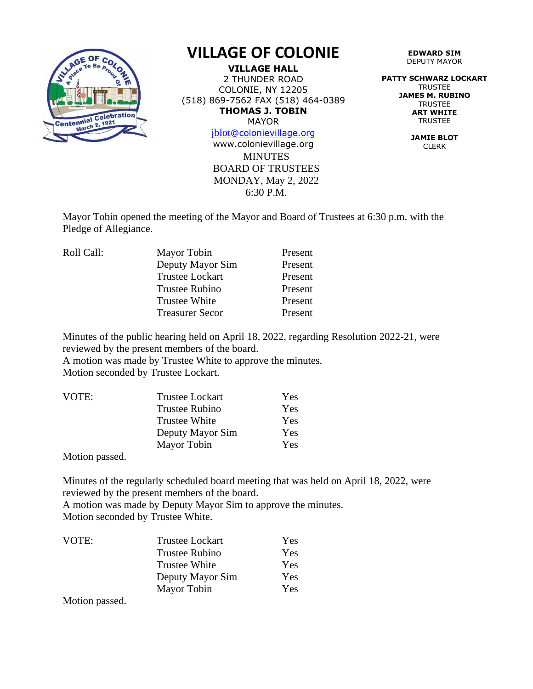

## **VILLAGE OF COLONIE**

**VILLAGE HALL** 2 THUNDER ROAD COLONIE, NY 12205 (518) 869-7562 FAX (518) 464-0389 **THOMAS J. TOBIN** MAYOR

[jblot](mailto:jblot@colonievillage.org)[@colonievillage.org](mailto:jblot@colonievillage.org)

**MINUTES** BOARD OF TRUSTEES MONDAY, May 2, 2022 6:30 P.M. www.colonievillage.org

**EDWARD SIM** DEPUTY MAYOR

**PATTY SCHWARZ LOCKART** TRUSTEE **JAMES M. RUBINO TRUSTEE ART WHITE** TRUSTEE

> **JAMIE BLOT** CLERK

Mayor Tobin opened the meeting of the Mayor and Board of Trustees at 6:30 p.m. with the Pledge of Allegiance.

| Mayor Tobin            | Present |
|------------------------|---------|
| Deputy Mayor Sim       | Present |
| <b>Trustee Lockart</b> | Present |
| <b>Trustee Rubino</b>  | Present |
| <b>Trustee White</b>   | Present |
| <b>Treasurer Secor</b> | Present |
|                        |         |

Minutes of the public hearing held on April 18, 2022, regarding Resolution 2022-21, were reviewed by the present members of the board.

A motion was made by Trustee White to approve the minutes. Motion seconded by Trustee Lockart.

| VOTE: | <b>Trustee Lockart</b> | Yes |
|-------|------------------------|-----|
|       | Trustee Rubino         | Yes |
|       | <b>Trustee White</b>   | Yes |
|       | Deputy Mayor Sim       | Yes |
|       | Mayor Tobin            | Yes |

Motion passed.

Minutes of the regularly scheduled board meeting that was held on April 18, 2022, were reviewed by the present members of the board. A motion was made by Deputy Mayor Sim to approve the minutes.

Motion seconded by Trustee White.

| VOTE: | <b>Trustee Lockart</b> | Yes |
|-------|------------------------|-----|
|       | <b>Trustee Rubino</b>  | Yes |
|       | Trustee White          | Yes |
|       | Deputy Mayor Sim       | Yes |
|       | Mayor Tobin            | Yes |

Motion passed.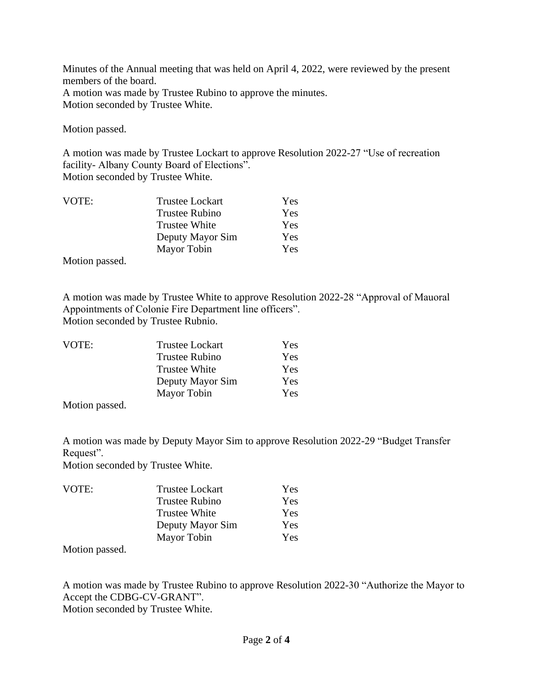Minutes of the Annual meeting that was held on April 4, 2022, were reviewed by the present members of the board. A motion was made by Trustee Rubino to approve the minutes. Motion seconded by Trustee White.

Motion passed.

A motion was made by Trustee Lockart to approve Resolution 2022-27 "Use of recreation facility- Albany County Board of Elections".

Motion seconded by Trustee White.

| VOTE: | <b>Trustee Lockart</b> | Yes |
|-------|------------------------|-----|
|       | <b>Trustee Rubino</b>  | Yes |
|       | <b>Trustee White</b>   | Yes |
|       | Deputy Mayor Sim       | Yes |
|       | Mayor Tobin            | Yes |
|       |                        |     |

Motion passed.

A motion was made by Trustee White to approve Resolution 2022-28 "Approval of Mauoral Appointments of Colonie Fire Department line officers". Motion seconded by Trustee Rubnio.

| VOTE: | <b>Trustee Lockart</b> | Yes |
|-------|------------------------|-----|
|       | <b>Trustee Rubino</b>  | Yes |
|       | <b>Trustee White</b>   | Yes |
|       | Deputy Mayor Sim       | Yes |
|       | Mayor Tobin            | Yes |
|       |                        |     |

Motion passed.

A motion was made by Deputy Mayor Sim to approve Resolution 2022-29 "Budget Transfer Request".

Motion seconded by Trustee White.

| <b>Trustee Lockart</b> | Yes |
|------------------------|-----|
| <b>Trustee Rubino</b>  | Yes |
| <b>Trustee White</b>   | Yes |
| Deputy Mayor Sim       | Yes |
| Mayor Tobin            | Yes |
|                        |     |

Motion passed.

A motion was made by Trustee Rubino to approve Resolution 2022-30 "Authorize the Mayor to Accept the CDBG-CV-GRANT". Motion seconded by Trustee White.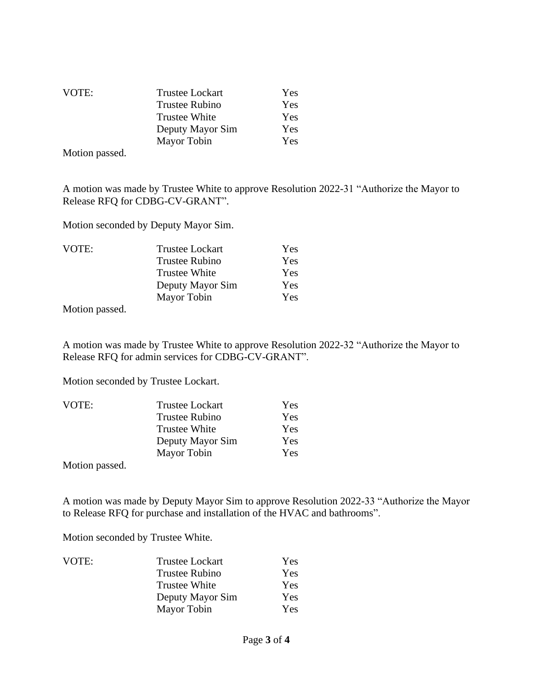| VOTE: | <b>Trustee Lockart</b> | Yes |
|-------|------------------------|-----|
|       | Trustee Rubino         | Yes |
|       | <b>Trustee White</b>   | Yes |
|       | Deputy Mayor Sim       | Yes |
|       | Mayor Tobin            | Yes |

Motion passed.

A motion was made by Trustee White to approve Resolution 2022-31 "Authorize the Mayor to Release RFQ for CDBG-CV-GRANT".

Motion seconded by Deputy Mayor Sim.

| VOTE:                     | <b>Trustee Lockart</b> | Yes |
|---------------------------|------------------------|-----|
|                           | <b>Trustee Rubino</b>  | Yes |
|                           | <b>Trustee White</b>   | Yes |
|                           | Deputy Mayor Sim       | Yes |
|                           | Mayor Tobin            | Yes |
| $\mathbf{X}$ $\mathbf{F}$ |                        |     |

Motion passed.

A motion was made by Trustee White to approve Resolution 2022-32 "Authorize the Mayor to Release RFQ for admin services for CDBG-CV-GRANT".

Motion seconded by Trustee Lockart.

| VOTE: | <b>Trustee Lockart</b> | Yes |
|-------|------------------------|-----|
|       | <b>Trustee Rubino</b>  | Yes |
|       | <b>Trustee White</b>   | Yes |
|       | Deputy Mayor Sim       | Yes |
|       | Mayor Tobin            | Yes |

Motion passed.

A motion was made by Deputy Mayor Sim to approve Resolution 2022-33 "Authorize the Mayor to Release RFQ for purchase and installation of the HVAC and bathrooms".

Motion seconded by Trustee White.

| VOTE: | <b>Trustee Lockart</b> | Yes |
|-------|------------------------|-----|
|       | <b>Trustee Rubino</b>  | Yes |
|       | <b>Trustee White</b>   | Yes |
|       | Deputy Mayor Sim       | Yes |
|       | Mayor Tobin            | Yes |